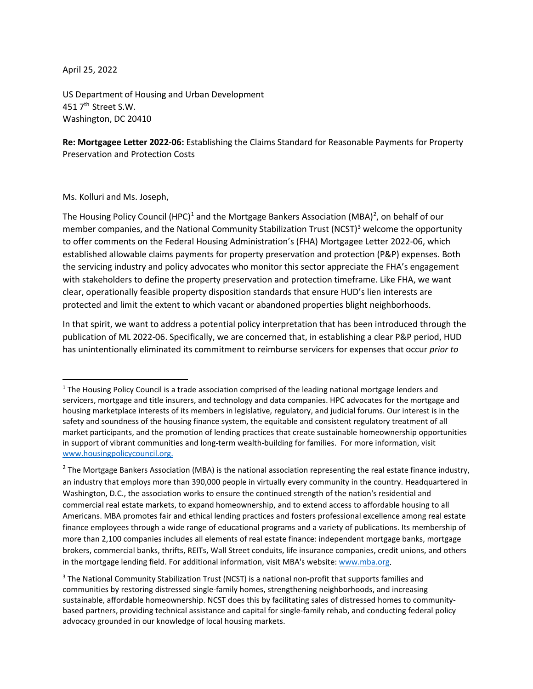April 25, 2022

US Department of Housing and Urban Development 451 7<sup>th</sup> Street S.W. Washington, DC 20410

**Re: Mortgagee Letter 2022-06:** Establishing the Claims Standard for Reasonable Payments for Property Preservation and Protection Costs

Ms. Kolluri and Ms. Joseph,

The Housing Policy Council (HPC)<sup>1</sup> and the Mortgage Bankers Association (MBA)<sup>[2](#page-0-1)</sup>, on behalf of our member companies, and the National Community Stabilization Trust (NCST)<sup>[3](#page-0-2)</sup> welcome the opportunity to offer comments on the Federal Housing Administration's (FHA) Mortgagee Letter 2022-06, which established allowable claims payments for property preservation and protection (P&P) expenses. Both the servicing industry and policy advocates who monitor this sector appreciate the FHA's engagement with stakeholders to define the property preservation and protection timeframe. Like FHA, we want clear, operationally feasible property disposition standards that ensure HUD's lien interests are protected and limit the extent to which vacant or abandoned properties blight neighborhoods.

In that spirit, we want to address a potential policy interpretation that has been introduced through the publication of ML 2022-06. Specifically, we are concerned that, in establishing a clear P&P period, HUD has unintentionally eliminated its commitment to reimburse servicers for expenses that occur *prior to*

<span id="page-0-0"></span> $1$  The Housing Policy Council is a trade association comprised of the leading national mortgage lenders and servicers, mortgage and title insurers, and technology and data companies. HPC advocates for the mortgage and housing marketplace interests of its members in legislative, regulatory, and judicial forums. Our interest is in the safety and soundness of the housing finance system, the equitable and consistent regulatory treatment of all market participants, and the promotion of lending practices that create sustainable homeownership opportunities in support of vibrant communities and long-term wealth-building for families. For more information, visit [www.housingpolicycouncil.org.](http://www.housingpolicycouncil.org/)

<span id="page-0-1"></span> $2$  The Mortgage Bankers Association (MBA) is the national association representing the real estate finance industry, an industry that employs more than 390,000 people in virtually every community in the country. Headquartered in Washington, D.C., the association works to ensure the continued strength of the nation's residential and commercial real estate markets, to expand homeownership, and to extend access to affordable housing to all Americans. MBA promotes fair and ethical lending practices and fosters professional excellence among real estate finance employees through a wide range of educational programs and a variety of publications. Its membership of more than 2,100 companies includes all elements of real estate finance: independent mortgage banks, mortgage brokers, commercial banks, thrifts, REITs, Wall Street conduits, life insurance companies, credit unions, and others in the mortgage lending field. For additional information, visit MBA's website[: www.mba.org.](http://www.mba.org/)

<span id="page-0-2"></span><sup>&</sup>lt;sup>3</sup> The National Community Stabilization Trust (NCST) is a national non-profit that supports families and communities by restoring distressed single-family homes, strengthening neighborhoods, and increasing sustainable, affordable homeownership. NCST does this by facilitating sales of distressed homes to communitybased partners, providing technical assistance and capital for single-family rehab, and conducting federal policy advocacy grounded in our knowledge of local housing markets.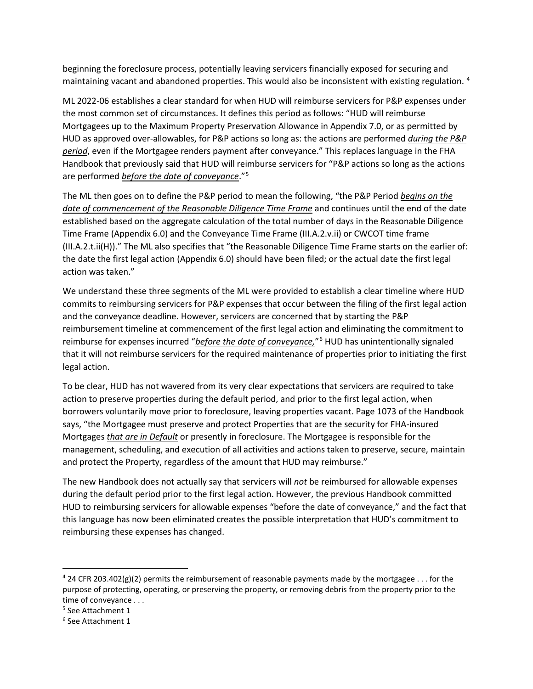beginning the foreclosure process, potentially leaving servicers financially exposed for securing and maintaining vacant and abandoned properties. This would also be inconsistent with existing regulation. <sup>[4](#page-1-0)</sup>

ML 2022-06 establishes a clear standard for when HUD will reimburse servicers for P&P expenses under the most common set of circumstances. It defines this period as follows: "HUD will reimburse Mortgagees up to the Maximum Property Preservation Allowance in Appendix 7.0, or as permitted by HUD as approved over-allowables, for P&P actions so long as: the actions are performed *during the P&P period*, even if the Mortgagee renders payment after conveyance." This replaces language in the FHA Handbook that previously said that HUD will reimburse servicers for "P&P actions so long as the actions are performed *before the date of conveyance*."[5](#page-1-1)

The ML then goes on to define the P&P period to mean the following, "the P&P Period *begins on the date of commencement of the Reasonable Diligence Time Frame* and continues until the end of the date established based on the aggregate calculation of the total number of days in the Reasonable Diligence Time Frame (Appendix 6.0) and the Conveyance Time Frame (III.A.2.v.ii) or CWCOT time frame (III.A.2.t.ii(H))." The ML also specifies that "the Reasonable Diligence Time Frame starts on the earlier of: the date the first legal action (Appendix 6.0) should have been filed; or the actual date the first legal action was taken."

We understand these three segments of the ML were provided to establish a clear timeline where HUD commits to reimbursing servicers for P&P expenses that occur between the filing of the first legal action and the conveyance deadline. However, servicers are concerned that by starting the P&P reimbursement timeline at commencement of the first legal action and eliminating the commitment to reimburse for expenses incurred "*before the date of conveyance,*"[6](#page-1-2) HUD has unintentionally signaled that it will not reimburse servicers for the required maintenance of properties prior to initiating the first legal action.

To be clear, HUD has not wavered from its very clear expectations that servicers are required to take action to preserve properties during the default period, and prior to the first legal action, when borrowers voluntarily move prior to foreclosure, leaving properties vacant. Page 1073 of the Handbook says, "the Mortgagee must preserve and protect Properties that are the security for FHA-insured Mortgages *that are in Default* or presently in foreclosure. The Mortgagee is responsible for the management, scheduling, and execution of all activities and actions taken to preserve, secure, maintain and protect the Property, regardless of the amount that HUD may reimburse."

The new Handbook does not actually say that servicers will *not* be reimbursed for allowable expenses during the default period prior to the first legal action. However, the previous Handbook committed HUD to reimbursing servicers for allowable expenses "before the date of conveyance," and the fact that this language has now been eliminated creates the possible interpretation that HUD's commitment to reimbursing these expenses has changed.

<span id="page-1-0"></span><sup>&</sup>lt;sup>4</sup> 24 CFR 203.402(g)(2) permits the reimbursement of reasonable payments made by the mortgagee . . . for the purpose of protecting, operating, or preserving the property, or removing debris from the property prior to the time of conveyance . . .

<span id="page-1-1"></span><sup>5</sup> See Attachment 1

<span id="page-1-2"></span><sup>6</sup> See Attachment 1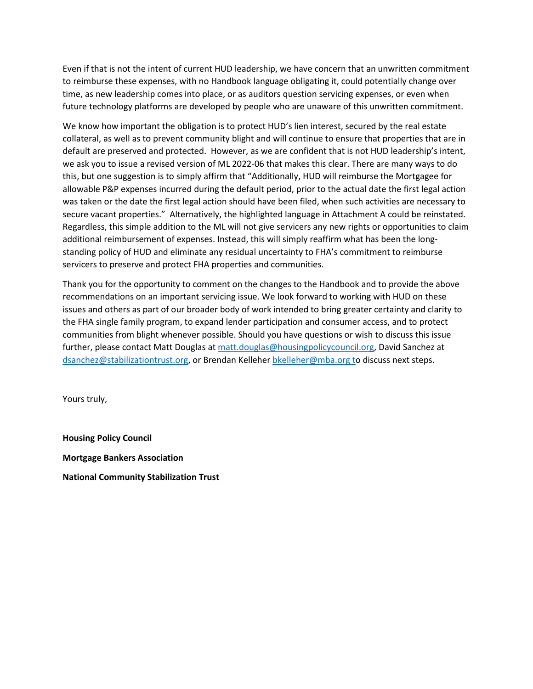Even if that is not the intent of current HUD leadership, we have concern that an unwritten commitment to reimburse these expenses, with no Handbook language obligating it, could potentially change over time, as new leadership comes into place, or as auditors question servicing expenses, or even when future technology platforms are developed by people who are unaware of this unwritten commitment.

We know how important the obligation is to protect HUD's lien interest, secured by the real estate collateral, as well as to prevent community blight and will continue to ensure that properties that are in default are preserved and protected. However, as we are confident that is not HUD leadership's intent, we ask you to issue a revised version of ML 2022-06 that makes this clear. There are many ways to do this, but one suggestion is to simply affirm that "Additionally, HUD will reimburse the Mortgagee for allowable P&P expenses incurred during the default period, prior to the actual date the first legal action was taken or the date the first legal action should have been filed, when such activities are necessary to secure vacant properties." Alternatively, the highlighted language in Attachment A could be reinstated. Regardless, this simple addition to the ML will not give servicers any new rights or opportunities to claim additional reimbursement of expenses. Instead, this will simply reaffirm what has been the longstanding policy of HUD and eliminate any residual uncertainty to FHA's commitment to reimburse servicers to preserve and protect FHA properties and communities.

Thank you for the opportunity to comment on the changes to the Handbook and to provide the above recommendations on an important servicing issue. We look forward to working with HUD on these issues and others as part of our broader body of work intended to bring greater certainty and clarity to the FHA single family program, to expand lender participation and consumer access, and to protect communities from blight whenever possible. Should you have questions or wish to discuss this issue further, please contact Matt Douglas at [matt.douglas@housingpolicycouncil.org,](mailto:matt.douglas@housingpolicycouncil.org) David Sanchez at dsanchez@stabilizationtrust.org, or Brendan Kelleher [bkelleher@mba.org](mailto:bkelleher@mba.org) to discuss next steps.

Yours truly,

**Housing Policy Council Mortgage Bankers Association National Community Stabilization Trust**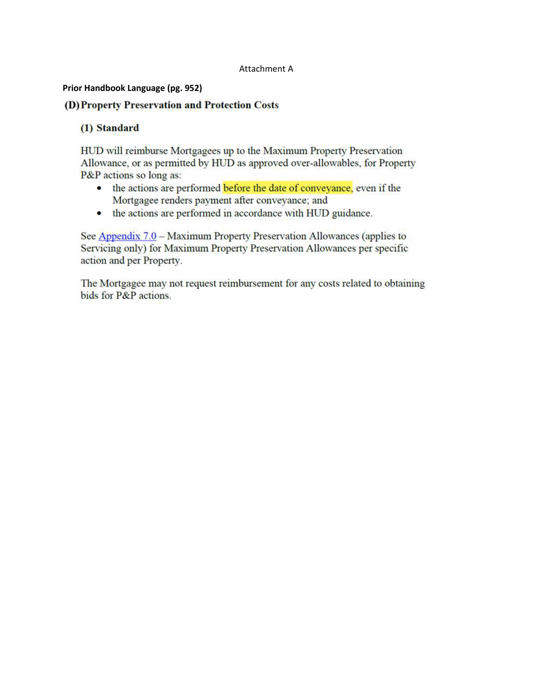#### Attachment A

#### Prior Handbook Language (pg. 952)

## (D) Property Preservation and Protection Costs

## (1) Standard

HUD will reimburse Mortgagees up to the Maximum Property Preservation Allowance, or as permitted by HUD as approved over-allowables, for Property P&P actions so long as:

- the actions are performed before the date of conveyance, even if the Mortgagee renders payment after conveyance; and
- the actions are performed in accordance with HUD guidance.  $\bullet$

See Appendix 7.0 – Maximum Property Preservation Allowances (applies to Servicing only) for Maximum Property Preservation Allowances per specific action and per Property.

The Mortgagee may not request reimbursement for any costs related to obtaining bids for P&P actions.